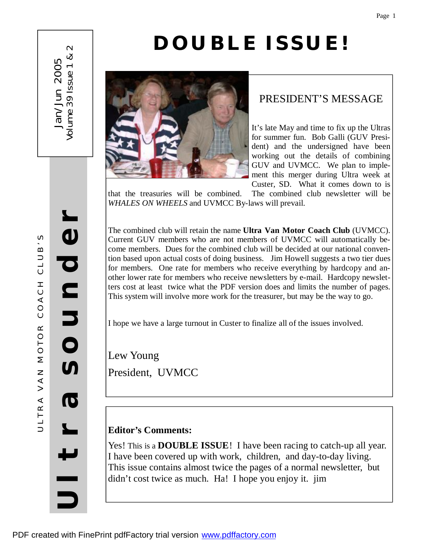# **DOUBLE ISSUE!**



## PRESIDENT'S MESSAGE

It's late May and time to fix up the Ultras for summer fun. Bob Galli (GUV President) and the undersigned have been working out the details of combining GUV and UVMCC. We plan to implement this merger during Ultra week at Custer, SD. What it comes down to is

that the treasuries will be combined. The combined club newsletter will be *WHALES ON WHEELS* and UVMCC By-laws will prevail.

The combined club will retain the name **Ultra Van Motor Coach Club** (UVMCC). Current GUV members who are not members of UVMCC will automatically become members. Dues for the combined club will be decided at our national convention based upon actual costs of doing business. Jim Howell suggests a two tier dues for members. One rate for members who receive everything by hardcopy and another lower rate for members who receive newsletters by e-mail. Hardcopy newsletters cost at least twice what the PDF version does and limits the number of pages. This system will involve more work for the treasurer, but may be the way to go.

I hope we have a large turnout in Custer to finalize all of the issues involved.

Lew Young President, UVMCC

## **Editor's Comments:**

Yes! This is a **DOUBLE ISSUE**! I have been racing to catch-up all year. I have been covered up with work, children, and day-to-day living. This issue contains almost twice the pages of a normal newsletter, but didn't cost twice as much. Ha! I hope you enjoy it. jim

**r**

J an/J

Volume

39 Issue

 $\overline{\phantom{0}}$ & $\sim$ 

s<br>S

2005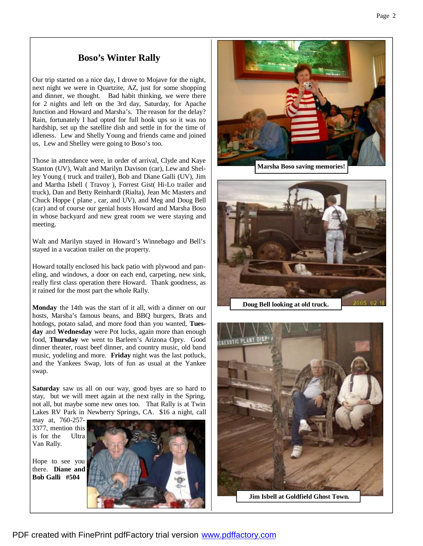## **Boso's Winter Rally**

Our trip started on a nice day, I drove to Mojave for the night, next night we were in Quartzite, AZ, just for some shopping and dinner, we thought. Bad habit thinking, we were there for 2 nights and left on the 3rd day, Saturday, for Apache Junction and Howard and Marsha's. The reason for the delay? Rain, fortunately I had opted for full hook ups so it was no hardship, set up the satellite dish and settle in for the time of idleness. Lew and Shelly Young and friends came and joined us, Lew and Shelley were going to Boso's too.

Those in attendance were, in order of arrival, Clyde and Kaye Stanton (UV), Walt and Marilyn Davison (car), Lew and Shelley Young ( truck and trailer), Bob and Diane Galli (UV), Jim and Martha Isbell ( Travoy ), Forrest Gist( Hi-Lo trailer and truck), Dan and Betty Reinhardt (Rialta), Jean Mc Masters and Chuck Hoppe ( plane , car, and UV), and Meg and Doug Bell (car) and of course our genial hosts Howard and Marsha Boso in whose backyard and new great room we were staying and meeting.

Walt and Marilyn stayed in Howard's Winnebago and Bell's stayed in a vacation trailer on the property.

Howard totally enclosed his back patio with plywood and paneling, and windows, a door on each end, carpeting, new sink, really first class operation there Howard. Thank goodness, as it rained for the most part the whole Rally.

**Monday** the 14th was the start of it all, with a dinner on our hosts, Marsha's famous beans, and BBQ burgers, Brats and hotdogs, potato salad, and more food than you wanted, **Tuesday** and **Wednesday** were Pot lucks, again more than enough food, **Thursday** we went to Barleen's Arizona Opry. Good dinner theater, roast beef dinner, and country music, old band music, yodeling and more. **Friday** night was the last potluck, and the Yankees Swap, lots of fun as usual at the Yankee swap.

**Saturday** saw us all on our way, good byes are so hard to stay, but we will meet again at the next rally in the Spring, not all, but maybe some new ones too. That Rally is at Twin Lakes RV Park in Newberry Springs, CA. \$16 a night, call

may at, 760-257- 3377, mention this is for the Ultra Van Rally.

Hope to see you there. **Diane and Bob Galli #504**









**Jim Isbell at Goldfield Ghost Town.**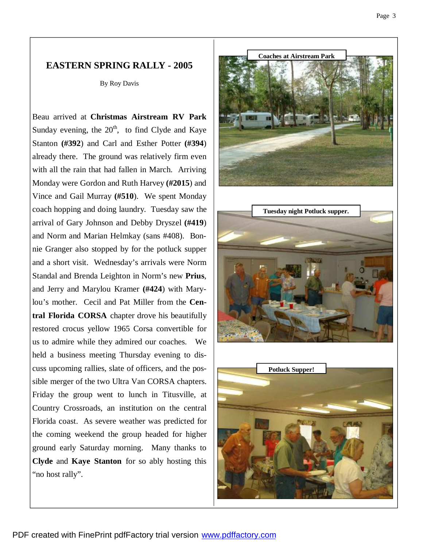## **EASTERN SPRING RALLY - 2005**

By Roy Davis

Beau arrived at **Christmas Airstream RV Park**  Sunday evening, the  $20<sup>th</sup>$ , to find Clyde and Kaye Stanton **(#392**) and Carl and Esther Potter **(#394**) already there. The ground was relatively firm even with all the rain that had fallen in March. Arriving Monday were Gordon and Ruth Harvey **(#2015**) and Vince and Gail Murray **(#510**). We spent Monday coach hopping and doing laundry. Tuesday saw the arrival of Gary Johnson and Debby Dryszel **(#419**) and Norm and Marian Helmkay (sans #408). Bonnie Granger also stopped by for the potluck supper and a short visit. Wednesday's arrivals were Norm Standal and Brenda Leighton in Norm's new **Prius**, and Jerry and Marylou Kramer **(#424**) with Marylou's mother. Cecil and Pat Miller from the **Central Florida CORSA** chapter drove his beautifully restored crocus yellow 1965 Corsa convertible for us to admire while they admired our coaches. We held a business meeting Thursday evening to discuss upcoming rallies, slate of officers, and the possible merger of the two Ultra Van CORSA chapters. Friday the group went to lunch in Titusville, at Country Crossroads, an institution on the central Florida coast. As severe weather was predicted for the coming weekend the group headed for higher ground early Saturday morning. Many thanks to **Clyde** and **Kaye Stanton** for so ably hosting this "no host rally".





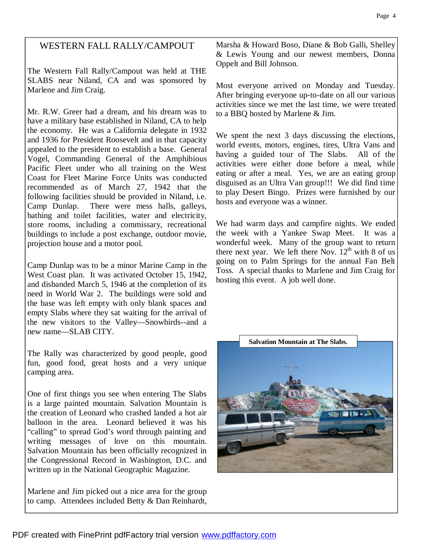## WESTERN FALL RALLY/CAMPOUT

The Western Fall Rally/Campout was held at THE SLABS near Niland, CA and was sponsored by Marlene and Jim Craig.

Mr. R.W. Greer had a dream, and his dream was to have a military base established in Niland, CA to help the economy. He was a California delegate in 1932 and 1936 for President Roosevelt and in that capacity appealed to the president to establish a base. General Vogel, Commanding General of the Amphibious Pacific Fleet under who all training on the West Coast for Fleet Marine Force Units was conducted recommended as of March 27, 1942 that the following facilities should be provided in Niland, i.e. Camp Dunlap. There were mess halls, galleys, bathing and toilet facilities, water and electricity, store rooms, including a commissary, recreational buildings to include a post exchange, outdoor movie, projection house and a motor pool.

Camp Dunlap was to be a minor Marine Camp in the West Coast plan. It was activated October 15, 1942, and disbanded March 5, 1946 at the completion of its need in World War 2. The buildings were sold and the base was left empty with only blank spaces and empty Slabs where they sat waiting for the arrival of the new visitors to the Valley—Snowbirds--and a new name—SLAB CITY.

The Rally was characterized by good people, good fun, good food, great hosts and a very unique camping area.

One of first things you see when entering The Slabs is a large painted mountain. Salvation Mountain is the creation of Leonard who crashed landed a hot air balloon in the area. Leonard believed it was his "calling" to spread God's word through painting and writing messages of love on this mountain. Salvation Mountain has been officially recognized in the Congressional Record in Washington, D.C. and written up in the National Geographic Magazine.

Marlene and Jim picked out a nice area for the group to camp. Attendees included Betty & Dan Reinhardt, Marsha & Howard Boso, Diane & Bob Galli, Shelley & Lewis Young and our newest members, Donna Oppelt and Bill Johnson.

Most everyone arrived on Monday and Tuesday. After bringing everyone up-to-date on all our various activities since we met the last time, we were treated to a BBQ hosted by Marlene & Jim.

We spent the next 3 days discussing the elections, world events, motors, engines, tires, Ultra Vans and having a guided tour of The Slabs. All of the activities were either done before a meal, while eating or after a meal. Yes, we are an eating group disguised as an Ultra Van group!!! We did find time to play Desert Bingo. Prizes were furnished by our hosts and everyone was a winner.

We had warm days and campfire nights. We ended the week with a Yankee Swap Meet. It was a wonderful week. Many of the group want to return there next year. We left there Nov.  $12<sup>th</sup>$  with 8 of us going on to Palm Springs for the annual Fan Belt Toss. A special thanks to Marlene and Jim Craig for hosting this event. A job well done.

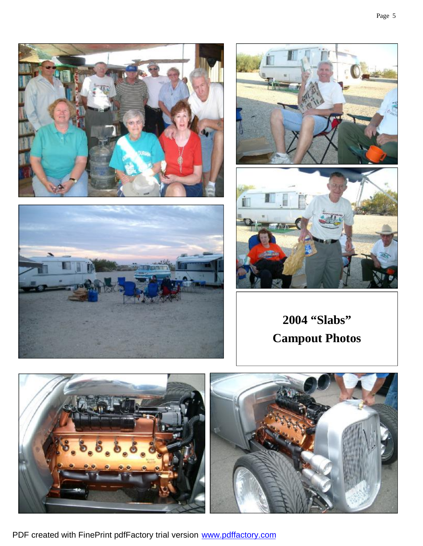







**2004 "Slabs" Campout Photos**



PDF created with FinePrint pdfFactory trial version [www.pdffactory.com](http://www.pdffactory.com)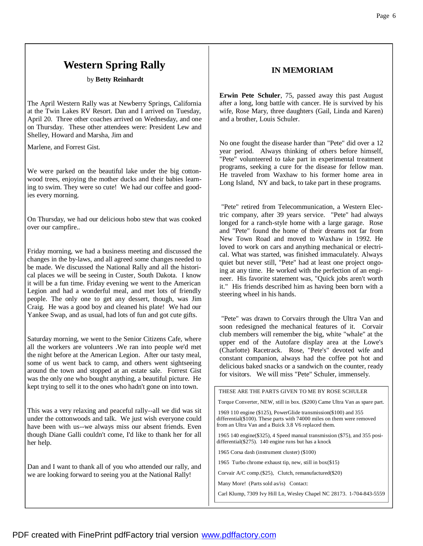## **Western Spring Rally**

by **Betty Reinhardt**

The April Western Rally was at Newberry Springs, California at the Twin Lakes RV Resort. Dan and I arrived on Tuesday, April 20. Three other coaches arrived on Wednesday, and one on Thursday. These other attendees were: President Lew and Shelley, Howard and Marsha, Jim and

Marlene, and Forrest Gist.

We were parked on the beautiful lake under the big cottonwood trees, enjoying the mother ducks and their babies learning to swim. They were so cute! We had our coffee and goodies every morning.

On Thursday, we had our delicious hobo stew that was cooked over our campfire..

Friday morning, we had a business meeting and discussed the changes in the by-laws, and all agreed some changes needed to be made. We discussed the National Rally and all the historical places we will be seeing in Custer, South Dakota. I know it will be a fun time. Friday evening we went to the American Legion and had a wonderful meal, and met lots of friendly people. The only one to get any dessert, though, was Jim Craig. He was a good boy and cleaned his plate! We had our Yankee Swap, and as usual, had lots of fun and got cute gifts.

Saturday morning, we went to the Senior Citizens Cafe, where all the workers are volunteers .We ran into people we'd met the night before at the American Legion. After our tasty meal, some of us went back to camp, and others went sightseeing around the town and stopped at an estate sale. Forrest Gist was the only one who bought anything, a beautiful picture. He kept trying to sell it to the ones who hadn't gone on into town.

This was a very relaxing and peaceful rally--all we did was sit under the cottonwoods and talk. We just wish everyone could have been with us--we always miss our absent friends. Even though Diane Galli couldn't come, I'd like to thank her for all her help.

Dan and I want to thank all of you who attended our rally, and we are looking forward to seeing you at the National Rally!

### **IN MEMORIAM**

**Erwin Pete Schuler**, 75, passed away this past August after a long, long battle with cancer. He is survived by his wife, Rose Mary, three daughters (Gail, Linda and Karen) and a brother, Louis Schuler.

No one fought the disease harder than "Pete" did over a 12 year period. Always thinking of others before himself, "Pete" volunteered to take part in experimental treatment programs, seeking a cure for the disease for fellow man. He traveled from Waxhaw to his former home area in Long Island, NY and back, to take part in these programs.

"Pete" retired from Telecommunication, a Western Electric company, after 39 years service. "Pete" had always longed for a ranch-style home with a large garage. Rose and "Pete" found the home of their dreams not far from New Town Road and moved to Waxhaw in 1992. He loved to work on cars and anything mechanical or electrical. What was started, was finished immaculately. Always quiet but never still, "Pete" had at least one project ongoing at any time. He worked with the perfection of an engineer. His favorite statement was, "Quick jobs aren't worth it." His friends described him as having been born with a steering wheel in his hands.

"Pete" was drawn to Corvairs through the Ultra Van and soon redesigned the mechanical features of it. Corvair club members will remember the big, white "whale" at the upper end of the Autofare display area at the Lowe's (Charlotte) Racetrack. Rose, "Pete's" devoted wife and constant companion, always had the coffee pot hot and delicious baked snacks or a sandwich on the counter, ready for visitors. We will miss "Pete" Schuler, immensely.

| THESE ARE THE PARTS GIVEN TO ME BY ROSE SCHULER                                                                                                                                                      |
|------------------------------------------------------------------------------------------------------------------------------------------------------------------------------------------------------|
| Torque Converter, NEW, still in box. (\$200) Came Ultra Van as spare part.                                                                                                                           |
| 1969 110 engine (\$125), PowerGlide transmission(\$100) and 355<br>differential $(\$100)$ . These parts with 74000 miles on them were removed<br>from an Ultra Van and a Buick 3.8 V6 replaced them. |
| 1965 140 engine (\$325), 4 Speed manual transmission (\$75), and 355 posi-<br>differential $(275)$ . 140 engine runs but has a knock                                                                 |
| 1965 Corsa dash (instrument cluster) (\$100)                                                                                                                                                         |
| 1965 Turbo chrome exhaust tip, new, still in box(\$15)                                                                                                                                               |
| Corvair A/C comp. (\$25), Clutch, remanufactured (\$20)                                                                                                                                              |
| Many More! (Parts sold as/is) Contact:                                                                                                                                                               |
| Carl Klump, 7309 Ivy Hill Ln, Wesley Chapel NC 28173. 1-704-843-5559                                                                                                                                 |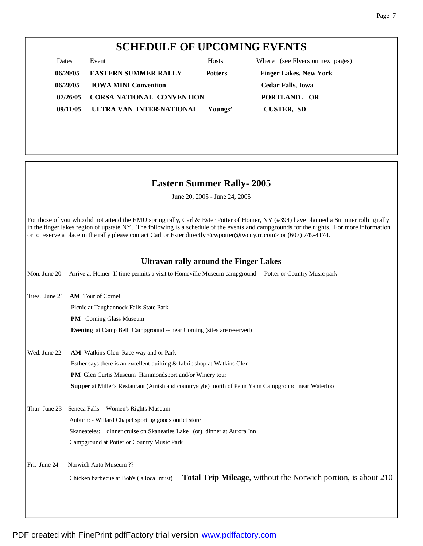## **SCHEDULE OF UPCOMING EVENTS**

| Dates    | Event                            | <b>Hosts</b>   | Where (see Flyers on next pages) |
|----------|----------------------------------|----------------|----------------------------------|
| 06/20/05 | <b>EASTERN SUMMER RALLY</b>      | <b>Potters</b> | <b>Finger Lakes, New York</b>    |
| 06/28/05 | <b>IOWA MINI Convention</b>      |                | <b>Cedar Falls, Iowa</b>         |
| 07/26/05 | <b>CORSA NATIONAL CONVENTION</b> |                | PORTLAND, OR                     |
| 09/11/05 | ULTRA VAN INTER-NATIONAL         | Youngs'        | <b>CUSTER, SD</b>                |

## **Eastern Summer Rally- 2005**

June 20, 2005 - June 24, 2005

For those of you who did not attend the EMU spring rally, Carl & Ester Potter of Homer, NY (#394) have planned a Summer rolling rally in the finger lakes region of upstate NY. The following is a schedule of the events and campgrounds for the nights. For more information or to reserve a place in the rally please contact Carl or Ester directly <cwpotter@twcny.rr.com> or (607) 749-4174.

### **Ultravan rally around the Finger Lakes**

Mon. June 20 Arrive at Homer If time permits a visit to Homeville Museum campground -- Potter or Country Music park Tues. June 21 **AM** Tour of Cornell Picnic at Taughannock Falls State Park **PM** Corning Glass Museum **Evening** at Camp Bell Campground -- near Corning (sites are reserved) Wed. June 22 **AM** Watkins Glen Race way and or Park Esther says there is an excellent quilting & fabric shop at Watkins Glen

**PM** Glen Curtis Museum Hammondsport and/or Winery tour

**Supper** at Miller's Restaurant (Amish and countrystyle) north of Penn Yann Campground near Waterloo

Thur June 23 Seneca Falls - Women's Rights Museum Auburn: - Willard Chapel sporting goods outlet store Skaneateles: dinner cruise on Skaneatles Lake (or) dinner at Aurora Inn Campground at Potter or Country Music Park

Fri. June 24 Norwich Auto Museum ??

Chicken barbecue at Bob's ( a local must) **Total Trip Mileage**, without the Norwich portion, is about 210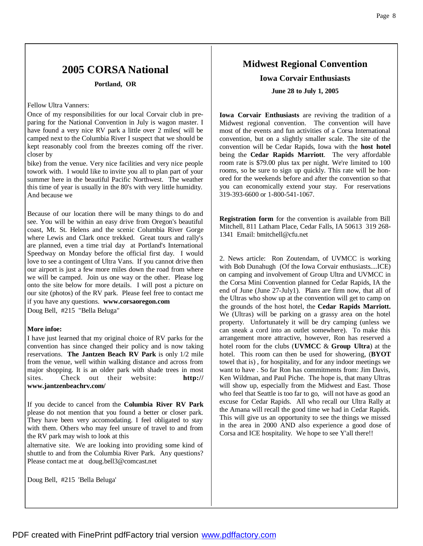## **2005 CORSA National**

#### **Portland, OR**

#### Fellow Ultra Vanners:

Once of my responsibilities for our local Corvair club in preparing for the National Convention in July is wagon master. I have found a very nice RV park a little over 2 miles( will be camped next to the Columbia River I suspect that we should be kept reasonably cool from the breezes coming off the river. closer by

bike) from the venue. Very nice facilities and very nice people towork with. I would like to invite you all to plan part of your summer here in the beautiful Pacific Northwest. The weather this time of year is usually in the 80's with very little humidity. And because we

Because of our location there will be many things to do and see. You will be within an easy drive from Oregon's beautiful coast, Mt. St. Helens and the scenic Columbia River Gorge where Lewis and Clark once trekked. Great tours and rally's are planned, even a time trial day at Portland's International Speedway on Monday before the official first day. I would love to see a contingent of Ultra Vans. If you cannot drive then our airport is just a few more miles down the road from where we will be camped. Join us one way or the other. Please log onto the site below for more details. I will post a picture on our site (photos) of the RV park. Please feel free to contact me if you have any questions. **www.corsaoregon.com**

Doug Bell, #215 "Bella Beluga"

#### **More infoe:**

I have just learned that my original choice of RV parks for the convention has since changed their policy and is now taking reservations. **The Jantzen Beach RV Park** is only 1/2 mile from the venue, well within walking distance and across from major shopping. It is an older park with shade trees in most sites. Check out their website: **http:// www.jantzenbeachrv.com/**

If you decide to cancel from the **Columbia River RV Park** please do not mention that you found a better or closer park. They have been very accomodating. I feel obligated to stay with them. Others who may feel unsure of travel to and from the RV park may wish to look at this

alternative site. We are looking into providing some kind of shuttle to and from the Columbia River Park. Any questions? Please contact me at doug.bell3@comcast.net

Doug Bell, #215 'Bella Beluga'

## **Midwest Regional Convention**

## **Iowa Corvair Enthusiasts June 28 to July 1, 2005**

**Iowa Corvair Enthusiasts** are reviving the tradition of a Midwest regional convention. The convention will have most of the events and fun activities of a Corsa International convention, but on a slightly smaller scale. The site of the convention will be Cedar Rapids, Iowa with the **host hotel**  being the **Cedar Rapids Marriott**. The very affordable room rate is \$79.00 plus tax per night. We're limited to 100 rooms, so be sure to sign up quickly. This rate will be honored for the weekends before and after the convention so that you can economically extend your stay. For reservations 319-393-6600 or 1-800-541-1067.

**Registration form** for the convention is available from Bill Mitchell, 811 Latham Place, Cedar Falls, IA 50613 319 268- 1341 Email: bmitchell@cfu.net

2. News article: Ron Zoutendam, of UVMCC is working with Bob Dunahugh (Of the Iowa Corvair enthusiasts....ICE) on camping and involvement of Group Ultra and UVMCC in the Corsa Mini Convention planned for Cedar Rapids, IA the end of June (June 27-July1). Plans are firm now, that all of the Ultras who show up at the convention will get to camp on the grounds of the host hotel, the **Cedar Rapids Marriott.**  We (Ultras) will be parking on a grassy area on the hotel property. Unfortunately it will be dry camping (unless we can sneak a cord into an outlet somewhere). To make this arrangement more attractive, however, Ron has reserved a hotel room for the clubs (**UVMCC** & **Group Ultra**) at the hotel. This room can then be used for showering, (**BYOT** towel that is) , for hospitality, and for any indoor meetings we want to have . So far Ron has commitments from: Jim Davis, Ken Wildman, and Paul Piche. The hope is, that many Ultras will show up, especially from the Midwest and East. Those who feel that Seattle is too far to go, will not have as good an excuse for Cedar Rapids. All who recall our Ultra Rally at the Amana will recall the good time we had in Cedar Rapids. This will give us an opportunity to see the things we missed in the area in 2000 AND also experience a good dose of Corsa and ICE hospitality. We hope to see Y'all there!!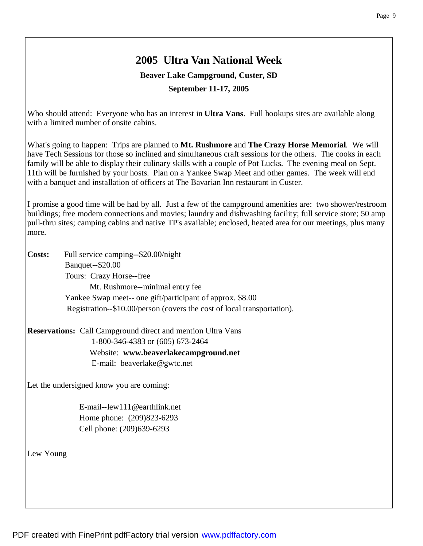## **2005 Ultra Van National Week**

**Beaver Lake Campground, Custer, SD**

**September 11-17, 2005**

Who should attend: Everyone who has an interest in **Ultra Vans**. Full hookups sites are available along with a limited number of onsite cabins.

What's going to happen: Trips are planned to **Mt. Rushmore** and **The Crazy Horse Memorial**. We will have Tech Sessions for those so inclined and simultaneous craft sessions for the others. The cooks in each family will be able to display their culinary skills with a couple of Pot Lucks. The evening meal on Sept. 11th will be furnished by your hosts. Plan on a Yankee Swap Meet and other games. The week will end with a banquet and installation of officers at The Bavarian Inn restaurant in Custer.

I promise a good time will be had by all. Just a few of the campground amenities are: two shower/restroom buildings; free modem connections and movies; laundry and dishwashing facility; full service store; 50 amp pull-thru sites; camping cabins and native TP's available; enclosed, heated area for our meetings, plus many more.

**Costs:** Full service camping--\$20.00/night Banquet--\$20.00 Tours: Crazy Horse--free Mt. Rushmore--minimal entry fee Yankee Swap meet-- one gift/participant of approx. \$8.00 Registration--\$10.00/person (covers the cost of local transportation).

**Reservations:** Call Campground direct and mention Ultra Vans 1-800-346-4383 or (605) 673-2464 Website: **www.beaverlakecampground.net** E-mail: beaverlake@gwtc.net

Let the undersigned know you are coming:

 E-mail--lew111@earthlink.net Home phone: (209)823-6293 Cell phone: (209)639-6293

Lew Young

PDF created with FinePrint pdfFactory trial version [www.pdffactory.com](http://www.pdffactory.com)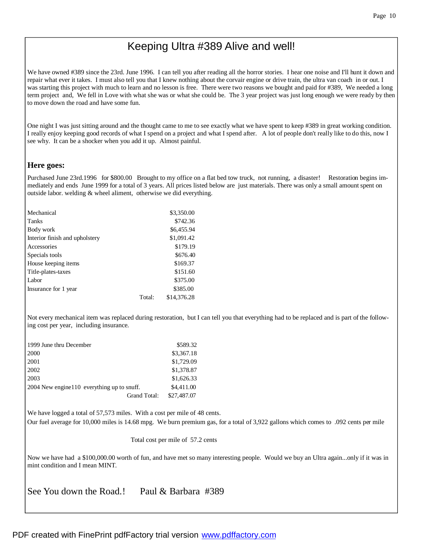## Keeping Ultra #389 Alive and well!

We have owned #389 since the 23rd. June 1996. I can tell you after reading all the horror stories. I hear one noise and I'll hunt it down and repair what ever it takes. I must also tell you that I knew nothing about the corvair engine or drive train, the ultra van coach in or out. I was starting this project with much to learn and no lesson is free. There were two reasons we bought and paid for #389, We needed a long term project and, We fell in Love with what she was or what she could be. The 3 year project was just long enough we were ready by then to move down the road and have some fun.

One night I was just sitting around and the thought came to me to see exactly what we have spent to keep #389 in great working condition. I really enjoy keeping good records of what I spend on a project and what I spend after. A lot of people don't really like to do this, now I see why. It can be a shocker when you add it up. Almost painful.

### **Here goes:**

Purchased June 23rd.1996 for \$800.00 Brought to my office on a flat bed tow truck, not running, a disaster! Restoration begins immediately and ends June 1999 for a total of 3 years. All prices listed below are just materials. There was only a small amount spent on outside labor. welding & wheel aliment, otherwise we did everything.

| Mechanical                     |        | \$3,350.00  |
|--------------------------------|--------|-------------|
| Tanks                          |        | \$742.36    |
| Body work                      |        | \$6,455.94  |
| Interior finish and upholstery |        | \$1,091.42  |
| Accessories                    |        | \$179.19    |
| Specials tools                 |        | \$676.40    |
| House keeping items            |        | \$169.37    |
| Title-plates-taxes             |        | \$151.60    |
| Labor                          |        | \$375.00    |
| Insurance for 1 year           |        | \$385.00    |
|                                | Total: | \$14,376.28 |

Not every mechanical item was replaced during restoration, but I can tell you that everything had to be replaced and is part of the following cost per year, including insurance.

| 1999 June thru December                     | \$589.32    |
|---------------------------------------------|-------------|
| 2000                                        | \$3,367.18  |
| 2001                                        | \$1,729.09  |
| 2002                                        | \$1,378.87  |
| 2003                                        | \$1,626.33  |
| 2004 New engine 110 everything up to snuff. | \$4,411.00  |
| Grand Total:                                | \$27,487.07 |

We have logged a total of 57,573 miles. With a cost per mile of 48 cents. Our fuel average for 10,000 miles is 14.68 mpg. We burn premium gas, for a total of 3,922 gallons which comes to .092 cents per mile

Total cost per mile of 57.2 cents

Now we have had a \$100,000.00 worth of fun, and have met so many interesting people. Would we buy an Ultra again...only if it was in mint condition and I mean MINT.

See You down the Road.! Paul & Barbara #389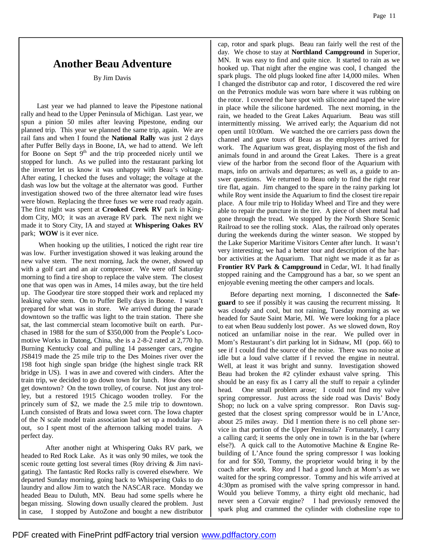## **Another Beau Adventure**

By Jim Davis

 Last year we had planned to leave the Pipestone national rally and head to the Upper Peninsula of Michigan. Last year, we spun a pinion 50 miles after leaving Pipestone, ending our planned trip. This year we planned the same trip, again. We are rail fans and when I found the **National Rally** was just 2 days after Puffer Belly days in Boone, IA, we had to attend. We left for Boone on Sept  $9<sup>th</sup>$  and the trip proceeded nicely until we stopped for lunch. As we pulled into the restaurant parking lot the invertor let us know it was unhappy with Beau's voltage. After eating, I checked the fuses and voltage; the voltage at the dash was low but the voltage at the alternator was good. Further investigation showed two of the three alternator lead wire fuses were blown. Replacing the three fuses we were road ready again. The first night was spent at **Crooked Creek RV** park in Kingdom City, MO; it was an average RV park. The next night we made it to Story City, IA and stayed at **Whispering Oakes RV**  park; **WOW** is it ever nice.

 When hooking up the utilities, I noticed the right rear tire was low. Further investigation showed it was leaking around the new valve stem. The next morning, Jack the owner, showed up with a golf cart and an air compressor. We were off Saturday morning to find a tire shop to replace the valve stem. The closest one that was open was in Ames, 14 miles away, but the tire held up. The Goodyear tire store stopped their work and replaced my leaking valve stem. On to Puffer Belly days in Boone. I wasn't prepared for what was in store. We arrived during the parade downtown so the traffic was light to the train station. There she sat, the last commercial steam locomotive built on earth. Purchased in 1988 for the sum of \$350,000 from the People's Locomotive Works in Datong, China, she is a 2-8-2 rated at 2,770 hp. Burning Kentucky coal and pulling 14 passenger cars, engine JS8419 made the 25 mile trip to the Des Moines river over the 198 foot high single span bridge (the highest single track RR bridge in US). I was in awe and covered with cinders. After the train trip, we decided to go down town for lunch. How does one get downtown? On the town trolley, of course. Not just any trolley, but a restored 1915 Chicago wooden trolley. For the princely sum of \$2, we made the 2.5 mile trip to downtown. Lunch consisted of Brats and Iowa sweet corn. The Iowa chapter of the N scale model train association had set up a modular layout, so I spent most of the afternoon talking model trains. A perfect day.

 After another night at Whispering Oaks RV park, we headed to Red Rock Lake. As it was only 90 miles, we took the scenic route getting lost several times (Roy driving & Jim navigating). The fantastic Red Rocks rally is covered elsewhere. We departed Sunday morning, going back to Whispering Oaks to do laundry and allow Jim to watch the NASCAR race. Monday we headed Beau to Duluth, MN. Beau had some spells where he began missing. Slowing down usually cleared the problem. Just in case, I stopped by AutoZone and bought a new distributor

cap, rotor and spark plugs. Beau ran fairly well the rest of the day. We chose to stay at **Northland Campground** in Superior, MN. It was easy to find and quite nice. It started to rain as we hooked up. That night after the engine was cool, I changed the spark plugs. The old plugs looked fine after 14,000 miles. When I changed the distributor cap and rotor, I discovered the red wire on the Petronics module was worn bare where it was rubbing on the rotor. I covered the bare spot with silicone and taped the wire in place while the silicone hardened. The next morning, in the rain, we headed to the Great Lakes Aquarium. Beau was still intermittently missing. We arrived early; the Aquarium did not open until 10:00am. We watched the ore carriers pass down the channel and gave tours of Beau as the employees arrived for work. The Aquarium was great, displaying most of the fish and animals found in and around the Great Lakes. There is a great view of the harbor from the second floor of the Aquarium with maps, info on arrivals and departures; as well as, a guide to answer questions. We returned to Beau only to find the right rear tire flat, again. Jim changed to the spare in the rainy parking lot while Roy went inside the Aquarium to find the closest tire repair place. A four mile trip to Holiday Wheel and Tire and they were able to repair the puncture in the tire. A piece of sheet metal had gone through the tread. We stopped by the North Shore Scenic Railroad to see the rolling stock. Alas, the railroad only operates during the weekends during the winter season. We stopped by the Lake Superior Maritime Visitors Center after lunch. It wasn't very interesting; we had a better tour and description of the harbor activities at the Aquarium. That night we made it as far as **Frontier RV Park & Campground** in Cedar, WI. It had finally stopped raining and the Campground has a bar, so we spent an enjoyable evening meeting the other campers and locals.

 Before departing next morning, I disconnected the **Safeguard** to see if possibly it was causing the recurrent missing. It was cloudy and cool, but not raining, Tuesday morning as we headed for Saute Saint Marie, MI. We were looking for a place to eat when Beau suddenly lost power. As we slowed down, Roy noticed an unfamiliar noise in the rear. We pulled over in Mom's Restaurant's dirt parking lot in Sidnaw, MI (pop. 66) to see if I could find the source of the noise. There was no noise at idle but a loud valve clatter if I revved the engine in neutral. Well, at least it was bright and sunny. Investigation showed Beau had broken the #2 cylinder exhaust valve spring. This should be an easy fix as I carry all the stuff to repair a cylinder head. One small problem arose; I could not find my valve spring compressor. Just across the side road was Davis' Body Shop; no luck on a valve spring compressor. Ron Davis suggested that the closest spring compressor would be in L'Ance, about 25 miles away. Did I mention there is no cell phone service in that portion of the Upper Peninsula? Fortunately, I carry a calling card; it seems the only one in town is in the bar (where else?). A quick call to the Automotive Machine & Engine Rebuilding of L'Ance found the spring compressor I was looking for and for \$50, Tommy, the proprietor would bring it by the coach after work. Roy and I had a good lunch at Mom's as we waited for the spring compressor. Tommy and his wife arrived at 4:30pm as promised with the valve spring compressor in hand. Would you believe Tommy, a thirty eight old mechanic, had never seen a Corvair engine? I had previously removed the spark plug and crammed the cylinder with clothesline rope to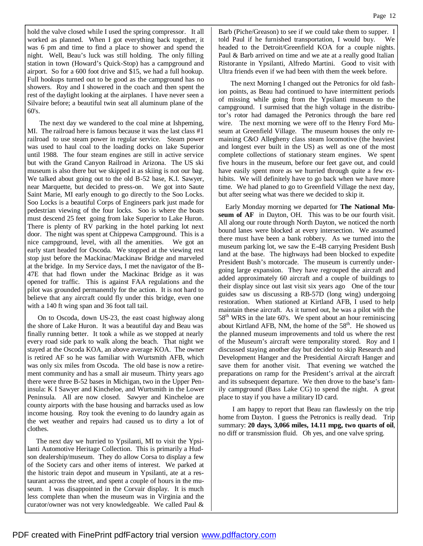PDF created with FinePrint pdfFactory trial version [www.pdffactory.com](http://www.pdffactory.com)

hold the valve closed while I used the spring compressor. It all worked as planned. When I got everything back together, it was 6 pm and time to find a place to shower and spend the night. Well, Beau's luck was still holding. The only filling station in town (Howard's Quick-Stop) has a campground and airport. So for a 600 foot drive and \$15, we had a full hookup. Full hookups turned out to be good as the campground has no showers. Roy and I showered in the coach and then spent the rest of the daylight looking at the airplanes. I have never seen a Silvaire before; a beautiful twin seat all aluminum plane of the 60's.

 The next day we wandered to the coal mine at Ishpeming, MI. The railroad here is famous because it was the last class #1 railroad to use steam power in regular service. Steam power was used to haul coal to the loading docks on lake Superior until 1988. The four steam engines are still in active service but with the Grand Canyon Railroad in Arizona. The US ski museum is also there but we skipped it as skiing is not our bag. We talked about going out to the old B-52 base, K.I. Sawyer, near Marquette, but decided to press-on. We got into Saute Saint Marie, MI early enough to go directly to the Soo Locks. Soo Locks is a beautiful Corps of Engineers park just made for pedestrian viewing of the four locks. Soo is where the boats must descend 25 feet going from lake Superior to Lake Huron. There is plenty of RV parking in the hotel parking lot next door. The night was spent at Chippewa Campground. This is a nice campground, level, with all the amenities. We got an early start headed for Oscoda. We stopped at the viewing rest stop just before the Mackinac/Mackinaw Bridge and marveled at the bridge. In my Service days, I met the navigator of the B-47E that had flown under the Mackinac Bridge as it was opened for traffic. This is against FAA regulations and the pilot was grounded permanently for the action. It is not hard to believe that any aircraft could fly under this bridge, even one with a 140 ft wing span and 36 foot tall tail.

 On to Oscoda, down US-23, the east coast highway along the shore of Lake Huron. It was a beautiful day and Beau was finally running better. It took a while as we stopped at nearly every road side park to walk along the beach. That night we stayed at the Oscoda KOA, an above average KOA. The owner is retired AF so he was familiar with Wurtsmith AFB, which was only six miles from Oscoda. The old base is now a retirement community and has a small air museum. Thirty years ago there were three B-52 bases in Michigan, two in the Upper Peninsula: K I Sawyer and Kincheloe, and Wurtsmith in the Lower Peninsula. All are now closed. Sawyer and Kincheloe are county airports with the base housing and barracks used as low income housing. Roy took the evening to do laundry again as the wet weather and repairs had caused us to dirty a lot of clothes.

The next day we hurried to Ypsilanti, MI to visit the Ypsilanti Automotive Heritage Collection. This is primarily a Hudson dealership/museum. They do allow Corsa to display a few of the Society cars and other items of interest. We parked at the historic train depot and museum in Ypsilanti, ate at a restaurant across the street, and spent a couple of hours in the museum. I was disappointed in the Corvair display. It is much less complete than when the museum was in Virginia and the curator/owner was not very knowledgeable. We called Paul &

Barb (Piche/Greason) to see if we could take them to supper. I told Paul if he furnished transportation, I would buy. We headed to the Detroit/Greenfield KOA for a couple nights. Paul & Barb arrived on time and we ate at a really good Italian Ristorante in Ypsilanti, Alfredo Martini. Good to visit with Ultra friends even if we had been with them the week before.

 The next Morning I changed out the Petronics for old fashion points, as Beau had continued to have intermittent periods of missing while going from the Ypsilanti museum to the campground. I surmised that the high voltage in the distributor's rotor had damaged the Petronics through the bare red wire. The next morning we were off to the Henry Ford Museum at Greenfield Village. The museum houses the only remaining C&O Allegheny class steam locomotive (the heaviest and longest ever built in the US) as well as one of the most complete collections of stationary steam engines. We spent five hours in the museum, before our feet gave out, and could have easily spent more as we hurried through quite a few exhibits. We will definitely have to go back when we have more time. We had planed to go to Greenfield Village the next day, but after seeing what was there we decided to skip it.

Early Monday morning we departed for **The National Museum of AF** in Dayton, OH. This was to be our fourth visit. All along our route through North Dayton, we noticed the north bound lanes were blocked at every intersection. We assumed there must have been a bank robbery. As we turned into the museum parking lot, we saw the E-4B carrying President Bush land at the base. The highways had been blocked to expedite President Bush's motorcade. The museum is currently undergoing large expansion. They have regrouped the aircraft and added approximately 60 aircraft and a couple of buildings to their display since out last visit six years ago One of the tour guides saw us discussing a RB-57D (long wing) undergoing restoration. When stationed at Kirtland AFB, I used to help maintain these aircraft. As it turned out, he was a pilot with the  $58<sup>th</sup> WRS$  in the late 60's. We spent about an hour reminiscing about Kirtland AFB, NM, the home of the  $58<sup>th</sup>$ . He showed us the planned museum improvements and told us where the rest of the Museum's aircraft were temporality stored. Roy and I discussed staying another day but decided to skip Research and Development Hanger and the Presidential Aircraft Hanger and save them for another visit. That evening we watched the preparations on ramp for the President's arrival at the aircraft and its subsequent departure. We then drove to the base's family campground (Bass Lake CG) to spend the night. A great place to stay if you have a military ID card.

 I am happy to report that Beau ran flawlessly on the trip home from Dayton. I guess the Petronics is really dead. Trip summary: **20 days, 3,066 miles, 14.11 mpg, two quarts of oil**, no diff or transmission fluid. Oh yes, and one valve spring.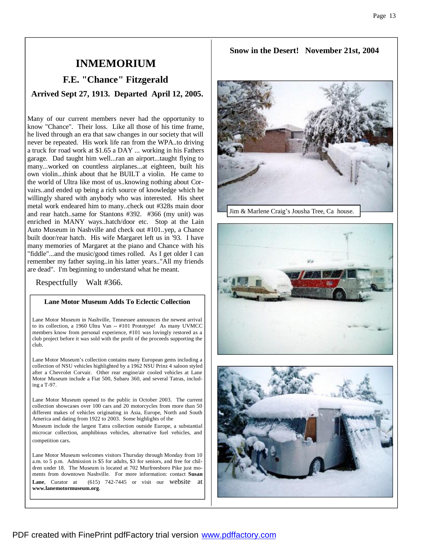## **INMEMORIUM**

## **F.E. "Chance" Fitzgerald**

**Arrived Sept 27, 1913. Departed April 12, 2005.**

Many of our current members never had the opportunity to know "Chance". Their loss. Like all those of his time frame, he lived through an era that saw changes in our society that will never be repeated. His work life ran from the WPA..to driving a truck for road work at \$1.65 a DAY ... working in his Fathers garage. Dad taught him well...ran an airport...taught flying to many...worked on countless airplanes...at eighteen, built his own violin...think about that he BUILT a violin. He came to the world of Ultra like most of us..knowing nothing about Corvairs..and ended up being a rich source of knowledge which he willingly shared with anybody who was interested. His sheet metal work endeared him to many..check out #328s main door and rear hatch..same for Stantons #392. #366 (my unit) was enriched in MANY ways..hatch/door etc. Stop at the Lain Auto Museum in Nashville and check out #101..yep, a Chance built door/rear hatch. His wife Margaret left us in '93. I have many memories of Margaret at the piano and Chance with his "fiddle"...and the music/good times rolled. As I get older I can remember my father saying..in his latter years.."All my friends are dead". I'm beginning to understand what he meant.

Respectfully Walt #366.

#### **Lane Motor Museum Adds To Eclectic Collection**

Lane Motor Museum in Nashville, Tennessee announces the newest arrival to its collection, a 1960 Ultra Van -- #101 Prototype! As many UVMCC members know from personal experience, #101 was lovingly restored as a club project before it was sold with the profit of the proceeds supporting the club.

Lane Motor Museum's collection contains many European gems including a collection of NSU vehicles highlighted by a 1962 NSU Prinz 4 saloon styled after a Chevrolet Corvair. Other rear engine/air cooled vehicles at Lane Motor Museum include a Fiat 500, Subaru 360, and several Tatras, including a T-97.

Lane Motor Museum opened to the public in October 2003. The current collection showcases over 100 cars and 20 motorcycles from more than 50 different makes of vehicles originating in Asia, Europe, North and South America and dating from 1922 to 2003. Some highlights of the

Museum include the largest Tatra collection outside Europe, a substantial microcar collection, amphibious vehicles, alternative fuel vehicles, and competition cars.

Lane Motor Museum welcomes visitors Thursday through Monday from 10 a.m. to 5 p.m. Admission is \$5 for adults, \$3 for seniors, and free for children under 18. The Museum is located at 702 Murfreesboro Pike just moments from downtown Nashville. For more information: contact **Susan Lane**, Curator at (615) 742-7445 or visit our website **www.lanemotormuseum.org**.

### **Snow in the Desert! November 21st, 2004**





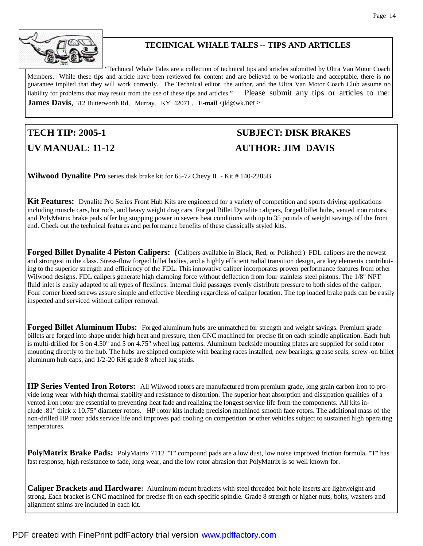

## **TECHNICAL WHALE TALES** -- **TIPS AND ARTICLES**

"Technical Whale Tales are a collection of technical tips and articles submitted by Ultra Van Motor Coach Members. While these tips and article have been reviewed for content and are believed to be workable and acceptable, there is no guarantee implied that they will work correctly. The Technical editor, the author, and the Ultra Van Motor Coach Club assume no liability for problems that may result from the use of these tips and articles." Please submit any tips or articles to me: **James Davis**, 312 Butterworth Rd, Murray, KY 42071, **E-mail** <jld@wk.net>

## **TECH TIP: 2005-1 SUBJECT: DISK BRAKES UV MANUAL: 11-12 AUTHOR: JIM DAVIS**

**Wilwood Dynalite Pro** series disk brake kit for 65-72 Chevy II - Kit # 140-2285B

**Kit Features:** Dynalite Pro Series Front Hub Kits are engineered for a variety of competition and sports driving applications including muscle cars, hot rods, and heavy weight drag cars. Forged Billet Dynalite calipers, forged billet hubs, vented iron rotors, and PolyMatrix brake pads offer big stopping power in severe heat conditions with up to 35 pounds of weight savings off the front end. Check out the technical features and performance benefits of these classically styled kits.

**Forged Billet Dynalite 4 Piston Calipers: (**Calipers available in Black, Red, or Polished:) FDL calipers are the newest and strongest in the class. Stress-flow forged billet bodies, and a highly efficient radial transition design, are key elements contributing to the superior strength and efficiency of the FDL. This innovative caliper incorporates proven performance features from other Wilwood designs. FDL calipers generate high clamping force without deflection from four stainless steel pistons. The 1/8" NPT fluid inlet is easily adapted to all types of flexlines. Internal fluid passages evenly distribute pressure to both sides of the caliper. Four corner bleed screws assure simple and effective bleeding regardless of caliper location. The top loaded brake pads can be easily inspected and serviced without caliper removal.

**Forged Billet Aluminum Hubs:** Forged aluminum hubs are unmatched for strength and weight savings. Premium grade billets are forged into shape under high heat and pressure, then CNC machined for precise fit on each spindle application. Each hub is multi-drilled for 5 on 4.50" and 5 on 4.75" wheel lug patterns. Aluminum backside mounting plates are supplied for solid rotor mounting directly to the hub. The hubs are shipped complete with bearing races installed, new bearings, grease seals, screw-on billet aluminum hub caps, and 1/2-20 RH grade 8 wheel lug studs.

**HP Series Vented Iron Rotors:** All Wilwood rotors are manufactured from premium grade, long grain carbon iron to provide long wear with high thermal stability and resistance to distortion. The superior heat absorption and dissipation qualities of a vented iron rotor are essential to preventing heat fade and realizing the longest service life from the components. All kits include .81" thick x 10.75" diameter rotors. HP rotor kits include precision machined smooth face rotors. The additional mass of the non-drilled HP rotor adds service life and improves pad cooling on competition or other vehicles subject to sustained high opera ting temperatures.

**PolyMatrix Brake Pads:** PolyMatrix 7112 "T" compound pads are a low dust, low noise improved friction formula. "T" has fast response, high resistance to fade, long wear, and the low rotor abrasion that PolyMatrix is so well known for.

**Caliper Brackets and Hardware:** Aluminum mount brackets with steel threaded bolt hole inserts are lightweight and strong. Each bracket is CNC machined for precise fit on each specific spindle. Grade 8 strength or higher nuts, bolts, washers and alignment shims are included in each kit.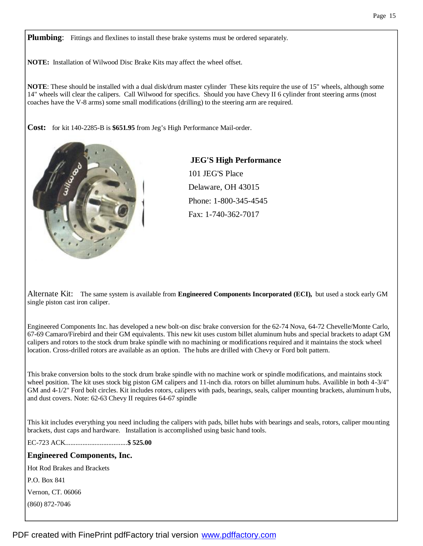**Plumbing**: Fittings and flexlines to install these brake systems must be ordered separately.

**NOTE:** Installation of Wilwood Disc Brake Kits may affect the wheel offset.

**NOTE**: These should be installed with a dual disk/drum master cylinder These kits require the use of 15" wheels, although some 14" wheels will clear the calipers. Call Wilwood for specifics. Should you have Chevy II 6 cylinder front steering arms (most coaches have the V-8 arms) some small modifications (drilling) to the steering arm are required.

**Cost:** for kit 140-2285-B is **\$651.95** from Jeg's High Performance Mail-order.



**JEG'S High Performance** 101 JEG'S Place Delaware, OH 43015 Phone: 1-800-345-4545 Fax: 1-740-362-7017

Alternate Kit: The same system is available from **Engineered Components Incorporated (ECI),** but used a stock early GM single piston cast iron caliper.

Engineered Components Inc. has developed a new bolt-on disc brake conversion for the 62-74 Nova, 64-72 Chevelle/Monte Carlo, 67-69 Camaro/Firebird and their GM equivalents. This new kit uses custom billet aluminum hubs and special brackets to adapt GM calipers and rotors to the stock drum brake spindle with no machining or modifications required and it maintains the stock wheel location. Cross-drilled rotors are available as an option. The hubs are drilled with Chevy or Ford bolt pattern.

This brake conversion bolts to the stock drum brake spindle with no machine work or spindle modifications, and maintains stock wheel position. The kit uses stock big piston GM calipers and 11-inch dia. rotors on billet aluminum hubs. Availible in both 4-3/4" GM and 4-1/2" Ford bolt circles. Kit includes rotors, calipers with pads, bearings, seals, caliper mounting brackets, aluminum h ubs, and dust covers. Note: 62-63 Chevy II requires 64-67 spindle

This kit includes everything you need including the calipers with pads, billet hubs with bearings and seals, rotors, caliper mounting brackets, dust caps and hardware. Installation is accomplished using basic hand tools.

EC-723 ACK....................................**\$ 525.00**

### **Engineered Components, Inc.**

Hot Rod Brakes and Brackets

P.O. Box 841

Vernon, CT. 06066

(860) 872-7046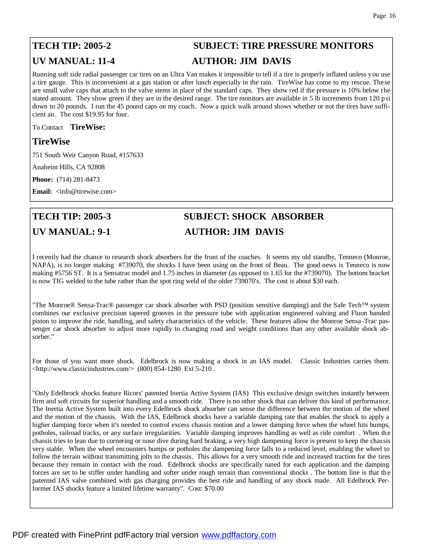## **TECH TIP: 2005-2 SUBJECT: TIRE PRESSURE MONITORS UV MANUAL: 11-4 AUTHOR: JIM DAVIS**

Running soft side radial passenger car tires on an Ultra Van makes it impossible to tell if a tire is properly inflated unless you use a tire gauge. This is inconvenient at a gas station or after lunch especially in the rain. TireWise has come to my rescue. These are small valve caps that attach to the valve stems in place of the standard caps. They show red if the pressure is 10% below the stated amount. They show green if they are in the desired range. The tire monitors are available in 5 lb increments from 120 psi down to 20 pounds. I run the 45 pound caps on my coach. Now a quick walk around shows whether or not the tires have sufficient air. The cost \$19.95 for four.

To Contact **TireWise:**

## **TireWise**

751 South Weir Canyon Road, #157633

Anaheim Hills, CA 92808

**Phone:** (714) 281-8473

**Email:** <info@tirewise.com>

## **TECH TIP: 2005-3 SUBJECT: SHOCK ABSORBER UV MANUAL: 9-1 AUTHOR: JIM DAVIS**

I recently had the chance to research shock absorbers for the front of the coaches. It seems my old standby, Tenneco (Monroe, NAPA), is no longer making #739070, the shocks I have been using on the front of Beau. The good news is Tenneco is now making #5756 ST. It is a Sensatrac model and 1.75 inches in diameter (as opposed to 1.65 for the #739070). The bottom bracket is now TIG welded to the tube rather than the spot ring weld of the older 739070's. The cost is about \$30 each.

"The Monroe® Sensa-Trac® passenger car shock absorber with PSD (position sensitive damping) and the Safe Tech™ system combines our exclusive precision tapered grooves in the pressure tube with application engineered valving and Fluon banded piston to improve the ride, handling, and safety characteristics of the vehicle. These features allow the Monroe Sensa -Trac passenger car shock absorber to adjust more rapidly to changing road and weight conditions than any other available shock absorber."

For those of you want more shock. Edelbrock is now making a shock in an IAS model. Classic Industries carries them.  $\lt$ http://www.classicindustries.com/> (800) 854-1280 Ext 5-210.

"Only Edelbrock shocks feature Ricors' patented Inertia Active System (IAS) This exclusive design switches instantly between firm and soft circuits for superior handling and a smooth ride. There is no other shock that can deliver this kind of performance. The Inertia Active System built into every Edelbrock shock absorber can sense the difference between the motion of the wheel and the motion of the chassis. With the IAS, Edelbrock shocks have a variable damping rate that enables the shock to apply a higher damping force when it's needed to control excess chassis motion and a lower damping force when the wheel hits bumps, potholes, railroad tracks, or any surface irregularities. Variable damping improves handling as well as ride comfort . When the chassis tries to lean due to cornering or nose dive during hard braking, a very high dampening force is present to keep the chassis very stable. When the wheel encounters bumps or potholes the dampening force falls to a reduced level, enabling the wheel to follow the terrain without transmitting jolts to the chassis. This allows for a very smooth ride and increased traction for the tires because they remain in contact with the road. Edelbrock shocks are specifically tuned for each application and the damping forces are set to be stiffer under handling and softer under rough terrain than conventional shocks . The bottom line is that the patented IAS valve combined with gas charging provides the best ride and handling of any shock made. All Edelbrock Performer IAS shocks feature a limited lifetime warranty". Cost: \$70.00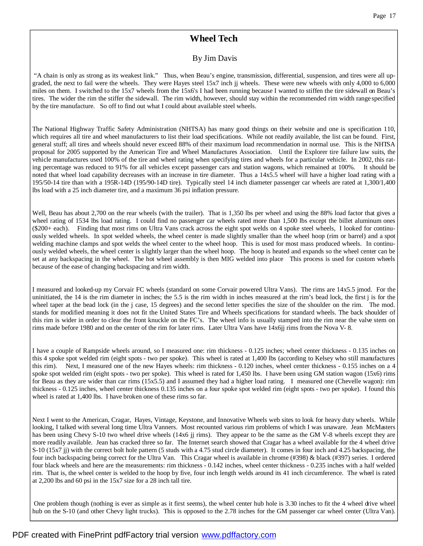## **Wheel Tech**

### By Jim Davis

 "A chain is only as strong as its weakest link." Thus, when Beau's engine, transmission, differential, suspension, and tires were all upgraded, the next to fail were the wheels. They were Hayes steel 15x7 inch jj wheels. These were new wheels with only 4,000 to 6,000 miles on them. I switched to the 15x7 wheels from the 15x6's I had been running because I wanted to stiffen the tire sidewall on Beau's tires. The wider the rim the stiffer the sidewall. The rim width, however, should stay within the recommended rim width range specified by the tire manufacture. So off to find out what I could about available steel wheels.

The National Highway Traffic Safety Administration (NHTSA) has many good things on their website and one is specification 110, which requires all tire and wheel manufacturers to list their load specifications. While not readily available, the list can be found. First, general stuff; all tires and wheels should never exceed 88% of their maximum load recommendation in normal use. This is the NHTSA proposal for 2005 supported by the American Tire and Wheel Manufactures Association. Until the Explorer tire failure law suits, the vehicle manufactures used 100% of the tire and wheel rating when specifying tires and wheels for a particular vehicle. In 2002, this rating percentage was reduced to 91% for all vehicles except passenger cars and station wagons, which remained at 100%. It should be noted that wheel load capability decreases with an increase in tire diameter. Thus a 14x5.5 wheel will have a higher load rating with a 195/50-14 tire than with a 195R-14D (195/90-14D tire). Typically steel 14 inch diameter passenger car wheels are rated at 1,300/1,400 lbs load with a 25 inch diameter tire, and a maximum 36 psi inflation pressure.

Well, Beau has about 2,700 on the rear wheels (with the trailer). That is 1,350 lbs per wheel and using the 88% load factor that gives a wheel rating of 1534 lbs load rating. I could find no passenger car wheels rated more than 1,500 lbs except the billet aluminum ones (\$200+ each). Finding that most rims on Ultra Vans crack across the eight spot welds on 4 spoke steel wheels, I looked for continuously welded wheels. In spot welded wheels, the wheel center is made slightly smaller than the wheel hoop (rim or barrel) and a spot welding machine clamps and spot welds the wheel center to the wheel hoop. This is used for most mass produced wheels. In continuously welded wheels, the wheel center is slightly larger than the wheel hoop. The hoop is heated and expands so the wheel center can be set at any backspacing in the wheel. The hot wheel assembly is then MIG welded into place This process is used for custom wheels because of the ease of changing backspacing and rim width.

I measured and looked-up my Corvair FC wheels (standard on some Corvair powered Ultra Vans). The rims are 14x5.5 jmod. For the uninitiated, the 14 is the rim diameter in inches; the 5.5 is the rim width in inches measured at the rim's bead lock, the first j is for the wheel taper at the bead lock (in the j case, 15 degrees) and the second letter specifies the size of the shoulder on the rim. The mod. stands for modified meaning it does not fit the United States Tire and Wheels specifications for standard wheels. The back shoulder of this rim is wider in order to clear the front knuckle on the FC's. The wheel info is usually stamped into the rim near the valve stem on rims made before 1980 and on the center of the rim for later rims. Later Ultra Vans have 14x6jj rims from the Nova V- 8.

I have a couple of Rampside wheels around, so I measured one: rim thickness - 0.125 inches; wheel center thickness - 0.135 inches on this 4 spoke spot welded rim (eight spots - two per spoke). This wheel is rated at 1,400 lbs (according to Kelsey who still manufactures this rim). Next, I measured one of the new Hayes wheels: rim thickness - 0.120 inches, wheel center thickness - 0.155 inches on a 4 spoke spot welded rim (eight spots - two per spoke). This wheel is rated for 1,450 lbs. I have been using GM station wagon (15x6) rims for Beau as they are wider than car rims (15x5.5) and I assumed they had a higher load rating. I measured one (Chevelle wagon): rim thickness - 0.125 inches, wheel center thickness 0.135 inches on a four spoke spot welded rim (eight spots - two per spoke). I found this wheel is rated at 1,400 lbs. I have broken one of these rims so far.

Next I went to the American, Cragar, Hayes, Vintage, Keystone, and Innovative Wheels web sites to look for heavy duty wheels. While looking, I talked with several long time Ultra Vanners. Most recounted various rim problems of which I was unaware. Jean McMasters has been using Chevy S-10 two wheel drive wheels (14x6 jj rims). They appear to be the same as the GM V-8 wheels except they are more readily available. Jean has cracked three so far. The Internet search showed that Cragar has a wheel available for the 4 wheel drive S-10 (15x7 jj) with the correct bolt hole pattern (5 studs with a 4.75 stud circle diameter). It comes in four inch and 4.25 backspacing, the four inch backspacing being correct for the Ultra Van. This Cragar wheel is available in chrome (#398) & black (#397) series. I ordered four black wheels and here are the measurements: rim thickness - 0.142 inches, wheel center thickness - 0.235 inches with a half welded rim. That is, the wheel center is welded to the hoop by five, four inch length welds around its 41 inch circumference. The wheel is rated at 2,200 lbs and 60 psi in the 15x7 size for a 28 inch tall tire.

 One problem though (nothing is ever as simple as it first seems), the wheel center hub hole is 3.30 inches to fit the 4 wheel drive wheel hub on the S-10 (and other Chevy light trucks). This is opposed to the 2.78 inches for the GM passenger car wheel center (Ultra Van).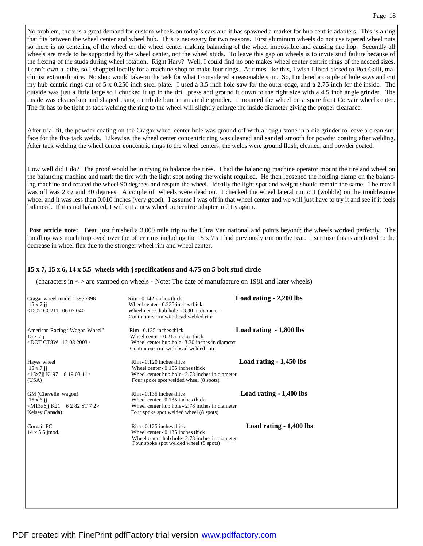No problem, there is a great demand for custom wheels on today's cars and it has spawned a market for hub centric adapters. This is a ring that fits between the wheel center and wheel hub. This is necessary for two reasons. First aluminum wheels do not use tapered wheel nuts so there is no centering of the wheel on the wheel center making balancing of the wheel impossible and causing tire hop. Secondly all wheels are made to be supported by the wheel center, not the wheel studs. To leave this gap on wheels is to invite stud failure because of the flexing of the studs during wheel rotation. Right Harv? Well, I could find no one makes wheel center centric rings of the needed sizes. I don't own a lathe, so I shopped locally for a machine shop to make four rings. At times like this, I wish I lived closed to Bob Galli, machinist extraordinaire. No shop would take-on the task for what I considered a reasonable sum. So, I ordered a couple of hole saws and cut my hub centric rings out of 5 x 0.250 inch steel plate. I used a 3.5 inch hole saw for the outer edge, and a 2.75 inch for the inside. The outside was just a little large so I chucked it up in the drill press and ground it down to the right size with a 4.5 inch angle grinder. The inside was cleaned-up and shaped using a carbide burr in an air die grinder. I mounted the wheel on a spare front Corvair wheel center. The fit has to be tight as tack welding the ring to the wheel will slightly enlarge the inside diameter giving the proper clearance.

After trial fit, the powder coating on the Cragar wheel center hole was ground off with a rough stone in a die grinder to leave a clean surface for the five tack welds. Likewise, the wheel center concentric ring was cleaned and sanded smooth for powder coating after welding. After tack welding the wheel center concentric rings to the wheel centers, the welds were ground flush, cleaned, and powder coated.

How well did I do? The proof would be in trying to balance the tires. I had the balancing machine operator mount the tire and wheel on the balancing machine and mark the tire with the light spot noting the weight required. He then loosened the holding clamp on the balancing machine and rotated the wheel 90 degrees and respun the wheel. Ideally the light spot and weight should remain the same. The max I was off was 2 oz and 30 degrees. A couple of wheels were dead on. I checked the wheel lateral run out (wobble) on the troublesome wheel and it was less than 0.010 inches (very good). I assume I was off in that wheel center and we will just have to try it and see if it feels balanced. If it is not balanced, I will cut a new wheel concentric adapter and try again.

**Post article note:** Beau just finished a 3,000 mile trip to the Ultra Van national and points beyond; the wheels worked perfectly. The handling was much improved over the other rims including the 15 x 7's I had previously run on the rear. I surmise this is attributed to the decrease in wheel flex due to the stronger wheel rim and wheel center.

#### **15 x 7, 15 x 6, 14 x 5.5 wheels with j specifications and 4.75 on 5 bolt stud circle**

(characters in < > are stamped on wheels - Note: The date of manufacture on 1981 and later wheels)

| Cragar wheel model #397/398<br>$15 \times 7$ ji<br>$<$ DOT CC21T 06 07 04>                   | $R$ im - 0.142 inches thick<br>Wheel center - 0.235 inches thick<br>Wheel center hub hole - 3.30 in diameter<br>Continuous rim with bead welded rim           | Load rating - 2,200 lbs  |
|----------------------------------------------------------------------------------------------|---------------------------------------------------------------------------------------------------------------------------------------------------------------|--------------------------|
| American Racing "Wagon Wheel"<br>$15 \times 7$ ii<br>$<$ DOT CT8W 12 08 2003>                | $R$ im - 0.135 inches thick<br>Wheel center - 0.215 inches thick<br>Wheel center hub hole - 3.30 inches in diameter<br>Continuous rim with bead welded rim    | Load rating $-1,800$ lbs |
| Hayes wheel<br>$15 \times 7$ ji<br>$<$ 15x7jj K197<br>6190311<br>(USA)                       | $R$ im - 0.120 inches thick<br>Wheel center - 0.155 inches thick<br>Wheel center hub hole - 2.78 inches in diameter<br>Four spoke spot welded wheel (8 spots) | Load rating $-1,450$ lbs |
| GM (Chevelle wagon)<br>$15 \times 6$ ii<br>$\leq M15x6i$ i K21 6282 ST 72><br>Kelsey Canada) | $R$ im - 0.135 inches thick<br>Wheel center - 0.135 inches thick<br>Wheel center hub hole - 2.78 inches in diameter<br>Four spoke spot welded wheel (8 spots) | Load rating - 1,400 lbs  |
| Corvair FC<br>14 x 5.5 jmod.                                                                 | $R$ im - 0.125 inches thick<br>Wheel center - 0.135 inches thick<br>Wheel center hub hole - 2.78 inches in diameter<br>Four spoke spot welded wheel (8 spots) | Load rating - 1,400 lbs  |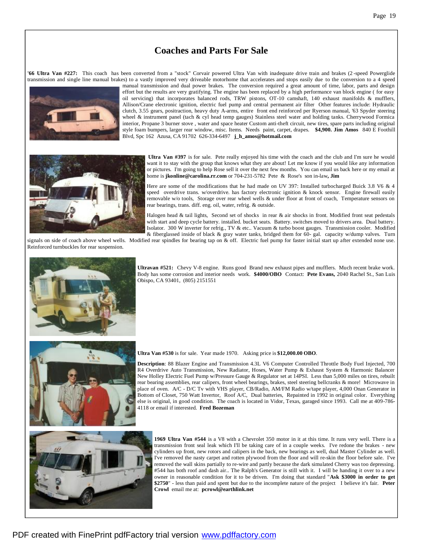## **Coaches and Parts For Sale**

**'66 Ultra Van #227:** This coach has been converted from a "stock" Corvair powered Ultra Van with inadequate drive train and brakes (2 -speed Powerglide transmission and single line manual brakes) to a vastly improved very driveable motorhome that accelerates and stops easily due to the conversion to a 4 speed



manual transmission and dual power brakes. The conversion required a great amount of time, labor, parts and design effort but the results are very gratifying. The engine has been replaced by a high performance van block engine ( for easy oil servicing) that incorporates balanced rods, TRW pistons, OT-10 camshaft, 140 exhaust manifolds & mufflers, Allison/Crane electronic ignition, electric fuel pump and central permanent air filter Other features include: Hydraulic clutch, 3.55 gears, positraction, heavy duty A-arms, entire front end reinforced per Ryerson manual, '63 Spyder steering wheel & instrument panel (tach & cyl head temp gauges) Stainless steel water and holding tanks. Cherrywood Formica interior, Propane 3 burner stove , water and space heater Custom anti-theft circuit, new tires, spare parts including original style foam bumpers, larger rear window, misc. Items. Needs paint, carpet, drapes. **\$4,900. Jim Amos** 840 E Foothill Blvd, Spc 162 Azusa, CA 91702 626-334-6497 **j\_h\_amos@hotmail.com**



**Ultra Van #397** is for sale. Pete really enjoyed his time with the coach and the club and I'm sure he would want it to stay with the group that knows what they are about! Let me know if you would like any information or pictures. I'm going to help Rose sell it over the next few months. You can email us back here or my email at home is **jkonline@carolina.rr.com** or 704-231-5782 Pete & Rose's son in-law**, Jim**

Here are some of the modifications that he had made on UV 397: Installed turbocharged Buick 3.8 V6 & 4 speed overdrive trans. w/overdrive. has factory electronic ignition & knock sensor. Engine firewall easily removable w/o tools, Storage over rear wheel wells & under floor at front of coach, Temperature sensors on rear bearings, trans. diff. eng. oil, water, refrig. & outside.

Halogen head & tail lights, Second set of shocks in rear & air shocks in front. Modified front seat pedestals with start and deep cycle battery. installed. bucket seats. Battery. switches moved to drivers area. Dual battery. Isolator. 300 W inverter for refrig., TV & etc.. Vacuum & turbo boost gauges. Transmission cooler. Modified & fiberglassed inside of black & gray water tanks, bridged them for 60- gal. capacity w/dump valves. Turn

signals on side of coach above wheel wells. Modified rear spindles for bearing tap on & off. Electric fuel pump for faster initial start up after extended none use. Reinforced turnbuckles for rear suspension.



**Ultravan #521:** Chevy V-8 engine. Runs good Brand new exhaust pipes and mufflers. Much recent brake work. Body has some corrosion and interior needs work. **\$4000/OBO** Contact: **Pete Evans,** 2040 Rachel St., San Luis Obispo, CA 93401, (805) 2151551



#### **Ultra Van #530** is for sale. Year made 1970. Asking price is **\$12,000.00 OBO**.

**Description**: 88 Blazer Engine and Transmission 4.3L V6 Computer Controlled Throttle Body Fuel Injected, 700 R4 Overdrive Auto Transmission, New Radiator, Hoses, Water Pump & Exhaust System & Harmonic Balancer New Holley Electric Fuel Pump w/Pressure Gauge & Regulator set at 14PSI. Less than 5,000 miles on tires, rebuilt rear bearing assemblies, rear calipers, front wheel bearings, brakes, steel steering bellcranks & more! Microwave in place of oven. A/C - D/C Tv with VHS player, CB/Radio, AM/FM Radio w/tape player, 4,000 Onan Generator in Bottom of Closet, 750 Watt Invertor, Roof A/C, Dual batteries, Repainted in 1992 in original color. Everything else is original, in good condition. The coach is located in Vidor, Texas, garaged since 1993. Call me at 409-786- 4118 or email if interested. **Fred Bozeman**



**1969 Ultra Van #544** is a V8 with a Chevrolet 350 motor in it at this time. It runs very well. There is a transmission front seal leak which I'll be taking care of in a couple weeks. I've redone the brakes - new cylinders up front, new rotors and calipers in the back, new bearings as well, dual Master Cylinder as well. I've removed the nasty carpet and rotten plywood from the floor and will re-skin the floor before sale. I've removed the wall skins partially to re-wire and partly because the dark simulated Cherry was too depressing. #544 has both roof and dash air.. The Ralph's Generator is still with it. I will be handing it over to a new owner in reasonable condition for it to be driven. I'm doing that standard "**Ask \$3000 in order to get \$2750**" - less than paid and spent but due to the incomplete nature of the project I believe it's fair. **Peter Crowl** email me at: **pcrowl@earthlink.net**